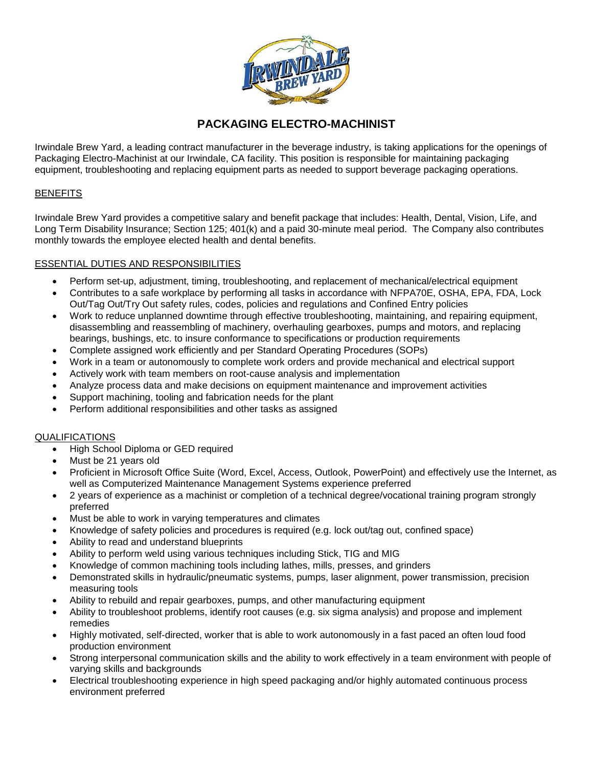

# **PACKAGING ELECTRO-MACHINIST**

Irwindale Brew Yard, a leading contract manufacturer in the beverage industry, is taking applications for the openings of Packaging Electro-Machinist at our Irwindale, CA facility. This position is responsible for maintaining packaging equipment, troubleshooting and replacing equipment parts as needed to support beverage packaging operations.

# **BENEFITS**

Irwindale Brew Yard provides a competitive salary and benefit package that includes: Health, Dental, Vision, Life, and Long Term Disability Insurance; Section 125; 401(k) and a paid 30-minute meal period. The Company also contributes monthly towards the employee elected health and dental benefits.

# ESSENTIAL DUTIES AND RESPONSIBILITIES

- Perform set-up, adjustment, timing, troubleshooting, and replacement of mechanical/electrical equipment
- Contributes to a safe workplace by performing all tasks in accordance with NFPA70E, OSHA, EPA, FDA, Lock Out/Tag Out/Try Out safety rules, codes, policies and regulations and Confined Entry policies
- Work to reduce unplanned downtime through effective troubleshooting, maintaining, and repairing equipment, disassembling and reassembling of machinery, overhauling gearboxes, pumps and motors, and replacing bearings, bushings, etc. to insure conformance to specifications or production requirements
- Complete assigned work efficiently and per Standard Operating Procedures (SOPs)
- Work in a team or autonomously to complete work orders and provide mechanical and electrical support
- Actively work with team members on root-cause analysis and implementation
- Analyze process data and make decisions on equipment maintenance and improvement activities
- Support machining, tooling and fabrication needs for the plant
- Perform additional responsibilities and other tasks as assigned

## QUALIFICATIONS

- High School Diploma or GED required
- Must be 21 years old
- Proficient in Microsoft Office Suite (Word, Excel, Access, Outlook, PowerPoint) and effectively use the Internet, as well as Computerized Maintenance Management Systems experience preferred
- 2 years of experience as a machinist or completion of a technical degree/vocational training program strongly preferred
- Must be able to work in varying temperatures and climates
- Knowledge of safety policies and procedures is required (e.g. lock out/tag out, confined space)
- Ability to read and understand blueprints
- Ability to perform weld using various techniques including Stick, TIG and MIG
- Knowledge of common machining tools including lathes, mills, presses, and grinders
- Demonstrated skills in hydraulic/pneumatic systems, pumps, laser alignment, power transmission, precision measuring tools
- Ability to rebuild and repair gearboxes, pumps, and other manufacturing equipment
- Ability to troubleshoot problems, identify root causes (e.g. six sigma analysis) and propose and implement remedies
- Highly motivated, self-directed, worker that is able to work autonomously in a fast paced an often loud food production environment
- Strong interpersonal communication skills and the ability to work effectively in a team environment with people of varying skills and backgrounds
- Electrical troubleshooting experience in high speed packaging and/or highly automated continuous process environment preferred